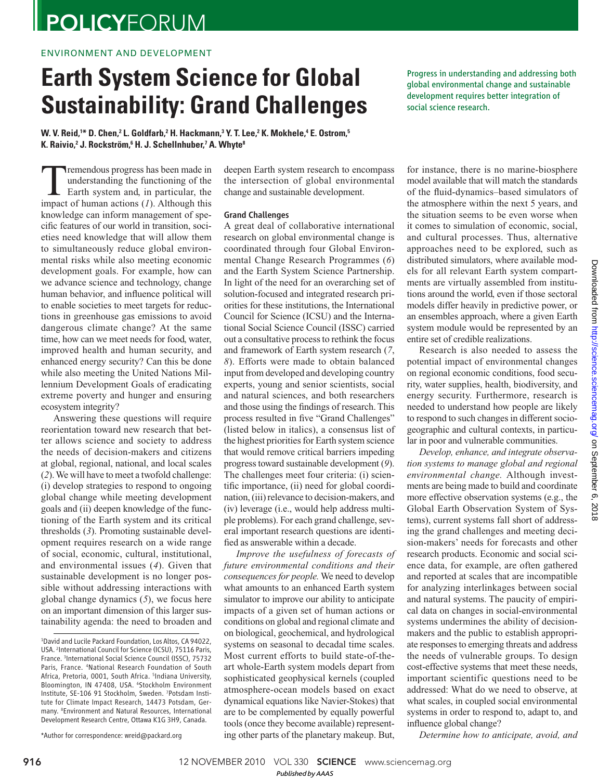## ENVIRONMENT AND DEVELOPMENT

# **Earth System Science for Global Sustainability: Grand Challenges**

**W. V. Reid,†\* D. Chen,** $^2$  **L. Goldfarb,** $^2$  **H. Hackmann,** $^3$  **Y. T. Lee,** $^2$  **K. Mokhele,** $^4$  **E. Ostrom,** $^5$ **K.** Raivio,<sup>2</sup> J. Rockström,<sup>6</sup> H. J. Schellnhuber,<sup>7</sup> A. Whyte<sup>8</sup>

Tremendous progress has been made in<br>understanding the functioning of the<br>Earth system and, in particular, the<br>impact of human actions  $(I)$ . Although this understanding the functioning of the Earth system and, in particular, the impact of human actions (1). Although this knowledge can inform management of specific features of our world in transition, societies need knowledge that will allow them to simultaneously reduce global environmental risks while also meeting economic development goals. For example, how can we advance science and technology, change human behavior, and influence political will to enable societies to meet targets for reductions in greenhouse gas emissions to avoid dangerous climate change? At the same time, how can we meet needs for food, water, improved health and human security, and enhanced energy security? Can this be done while also meeting the United Nations Millennium Development Goals of eradicating extreme poverty and hunger and ensuring ecosystem integrity?

Answering these questions will require reorientation toward new research that better allows science and society to address the needs of decision-makers and citizens at global, regional, national, and local scales ( *2*). We will have to meet a twofold challenge: (i) develop strategies to respond to ongoing global change while meeting development goals and (ii) deepen knowledge of the functioning of the Earth system and its critical thresholds (3). Promoting sustainable development requires research on a wide range of social, economic, cultural, institutional, and environmental issues (4). Given that sustainable development is no longer possible without addressing interactions with global change dynamics  $(5)$ , we focus here on an important dimension of this larger sustainability agenda: the need to broaden and

deepen Earth system research to encompass the intersection of global environmental change and sustainable development.

#### Grand Challenges

A great deal of collaborative international research on global environmental change is coordinated through four Global Environmental Change Research Programmes (6) and the Earth System Science Partnership. In light of the need for an overarching set of solution-focused and integrated research priorities for these institutions, the International Council for Science (ICSU) and the International Social Science Council (ISSC) carried out a consultative process to rethink the focus and framework of Earth system research ( *7*, *8*). Efforts were made to obtain balanced input from developed and developing country experts, young and senior scientists, social and natural sciences, and both researchers and those using the findings of research. This process resulted in five "Grand Challenges" (listed below in italics), a consensus list of the highest priorities for Earth system science that would remove critical barriers impeding progress toward sustainable development (9). The challenges meet four criteria: (i) scientific importance, (ii) need for global coordination, (iii) relevance to decision-makers, and (iv) leverage (i.e., would help address multiple problems). For each grand challenge, several important research questions are identified as answerable within a decade.

*Improve the usefulness of forecasts of future environmental conditions and their consequences for people.* We need to develop what amounts to an enhanced Earth system simulator to improve our ability to anticipate impacts of a given set of human actions or conditions on global and regional climate and on biological, geochemical, and hydrological systems on seasonal to decadal time scales. Most current efforts to build state-of-theart whole-Earth system models depart from sophisticated geophysical kernels (coupled atmosphere-ocean models based on exact dynamical equations like Navier-Stokes) that are to be complemented by equally powerful tools (once they become available) representing other parts of the planetary makeup. But,

for instance, there is no marine-biosphere model available that will match the standards of the fluid-dynamics–based simulators of the atmosphere within the next 5 years, and the situation seems to be even worse when it comes to simulation of economic, social, and cultural processes. Thus, alternative approaches need to be explored, such as distributed simulators, where available models for all relevant Earth system compartments are virtually assembled from institutions around the world, even if those sectoral models differ heavily in predictive power, or an ensembles approach, where a given Earth system module would be represented by an entire set of credible realizations.

Progress in understanding and addressing both global environmental change and sustainable development requires better integration of

social science research.

Research is also needed to assess the potential impact of environmental changes on regional economic conditions, food security, water supplies, health, biodiversity, and energy security. Furthermore, research is needed to understand how people are likely to respond to such changes in different sociogeographic and cultural contexts, in particular in poor and vulnerable communities.

*Develop, enhance, and integrate observation systems to manage global and regional environmental change.* Although investments are being made to build and coordinate more effective observation systems (e.g., the Global Earth Observation System of Systems), current systems fall short of addressing the grand challenges and meeting decision-makers' needs for forecasts and other research products. Economic and social science data, for example, are often gathered and reported at scales that are incompatible for analyzing interlinkages between social and natural systems. The paucity of empirical data on changes in social-environmental systems undermines the ability of decisionmakers and the public to establish appropriate responses to emerging threats and address the needs of vulnerable groups. To design cost-effective systems that meet these needs, important scientific questions need to be addressed: What do we need to observe, at what scales, in coupled social environmental systems in order to respond to, adapt to, and influence global change?

*Determine how to anticipate, avoid, and* 

916 12 NOVEMBER 2010 VOL 330 SCIENCE www.sciencemag.org *Published byAAAS*

<sup>1</sup>David and Lucile Packard Foundation, Los Altos, CA 94022, USA. <sup>2</sup> International Council for Science (ICSU), 75116 Paris, France. <sup>3</sup> International Social Science Council (ISSC), 75732 Paris, France. <sup>4</sup>National Research Foundation of South Africa, Pretoria, 0001, South Africa. <sup>5</sup> Indiana University, Bloomington, IN 47408, USA. <sup>6</sup>Stockholm Environment Institute, SE-106 91 Stockholm, Sweden. 7Potsdam Institute for Climate Impact Research, 14473 Potsdam, Germany. <sup>8</sup>Environment and Natural Resources, International Development Research Centre, Ottawa K1G 3H9, Canada.

<sup>\*</sup>Author for correspondence: wreid@packard.org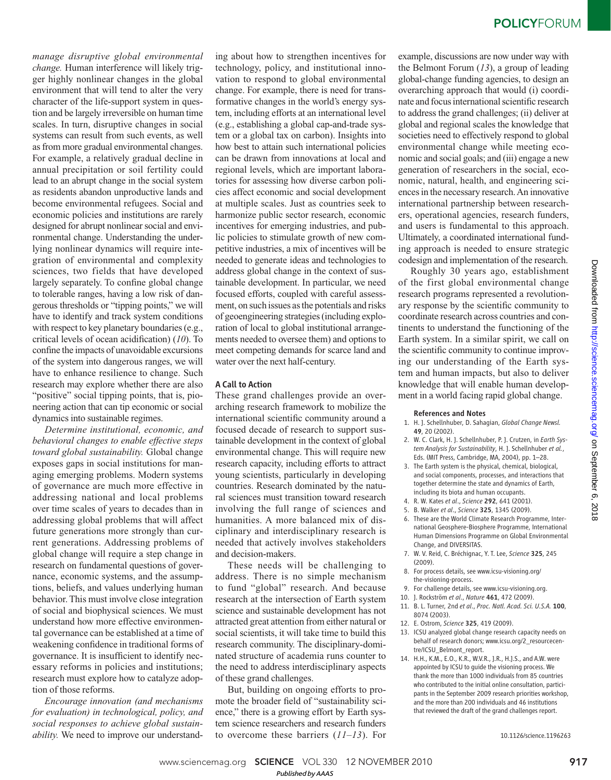*manage disruptive global environmental change.* Human interference will likely trigger highly nonlinear changes in the global environment that will tend to alter the very character of the life-support system in question and be largely irreversible on human time scales. In turn, disruptive changes in social systems can result from such events, as well as from more gradual environmental changes. For example, a relatively gradual decline in annual precipitation or soil fertility could lead to an abrupt change in the social system as residents abandon unproductive lands and become environmental refugees. Social and economic policies and institutions are rarely designed for abrupt nonlinear social and environmental change. Understanding the underlying nonlinear dynamics will require integration of environmental and complexity sciences, two fields that have developed largely separately. To confine global change to tolerable ranges, having a low risk of dangerous thresholds or "tipping points," we will have to identify and track system conditions with respect to key planetary boundaries (e.g., critical levels of ocean acidification) (10). To confine the impacts of unavoidable excursions of the system into dangerous ranges, we will have to enhance resilience to change. Such research may explore whether there are also "positive" social tipping points, that is, pioneering action that can tip economic or social dynamics into sustainable regimes.

*Determine institutional, economic, and behavioral changes to enable effective steps toward global sustainability.* Global change exposes gaps in social institutions for managing emerging problems. Modern systems of governance are much more effective in addressing national and local problems over time scales of years to decades than in addressing global problems that will affect future generations more strongly than current generations. Addressing problems of global change will require a step change in research on fundamental questions of governance, economic systems, and the assumptions, beliefs, and values underlying human behavior. This must involve close integration of social and biophysical sciences. We must understand how more effective environmental governance can be established at a time of weakening confidence in traditional forms of governance. It is insufficient to identify necessary reforms in policies and institutions; research must explore how to catalyze adoption of those reforms.

*Encourage innovation (and mechanisms for evaluation) in technological, policy, and social responses to achieve global sustainability.* We need to improve our understand-

ing about how to strengthen incentives for technology, policy, and institutional innovation to respond to global environmental change. For example, there is need for transformative changes in the world's energy system, including efforts at an international level (e.g., establishing a global cap-and-trade system or a global tax on carbon). Insights into how best to attain such international policies can be drawn from innovations at local and regional levels, which are important laboratories for assessing how diverse carbon policies affect economic and social development at multiple scales. Just as countries seek to harmonize public sector research, economic incentives for emerging industries, and public policies to stimulate growth of new competitive industries, a mix of incentives will be needed to generate ideas and technologies to address global change in the context of sustainable development. In particular, we need focused efforts, coupled with careful assessment, on such issues as the potentials and risks of geoengineering strategies (including exploration of local to global institutional arrangements needed to oversee them) and options to meet competing demands for scarce land and water over the next half-century.

### A Call to Action

These grand challenges provide an overarching research framework to mobilize the international scientific community around a focused decade of research to support sustainable development in the context of global environmental change. This will require new research capacity, including efforts to attract young scientists, particularly in developing countries. Research dominated by the natural sciences must transition toward research involving the full range of sciences and humanities. A more balanced mix of disciplinary and interdisciplinary research is needed that actively involves stakeholders and decision-makers.

These needs will be challenging to address. There is no simple mechanism to fund "global" research. And because research at the intersection of Earth system science and sustainable development has not attracted great attention from either natural or social scientists, it will take time to build this research community. The disciplinary-dominated structure of academia runs counter to the need to address interdisciplinary aspects of these grand challenges.

But, building on ongoing efforts to promote the broader field of "sustainability science," there is a growing effort by Earth system science researchers and research funders to overcome these barriers  $(11-13)$ . For

example, discussions are now under way with the Belmont Forum  $(13)$ , a group of leading global-change funding agencies, to design an overarching approach that would (i) coordinate and focus international scientific research to address the grand challenges; (ii) deliver at global and regional scales the knowledge that societies need to effectively respond to global environmental change while meeting economic and social goals; and (iii) engage a new generation of researchers in the social, economic, natural, health, and engineering sciences in the necessary research. An innovative international partnership between researchers, operational agencies, research funders, and users is fundamental to this approach. Ultimately, a coordinated international funding approach is needed to ensure strategic codesign and implementation of the research.

Roughly 30 years ago, establishment of the first global environmental change research programs represented a revolutionary response by the scientific community to coordinate research across countries and continents to understand the functioning of the Earth system. In a similar spirit, we call on the scientific community to continue improving our understanding of the Earth system and human impacts, but also to deliver knowledge that will enable human development in a world facing rapid global change.

#### References and Notes

- 1. H. J. Schellnhuber, D. Sahagian, *Global Change Newsl.* 49, 20 (2002).
- 2. W. C. Clark, H. J. Schellnhuber, P. J. Crutzen, in *Earth System Analysis for Sustainability*, H. J. Schellnhuber *et al.*, Eds. (MIT Press, Cambridge, MA, 2004), pp. 1–28.
- 3. The Earth system is the physical, chemical, biological, and social components, processes, and interactions that together determine the state and dynamics of Earth, including its biota and human occupants.
- 4. R. W. Kates *et al*., *Science* 292, 641 (2001).
- 5. B. Walker *et al*., *Science* 325, 1345 (2009).
- 6. These are the World Climate Research Programme, International Geosphere-Biosphere Programme, International Human Dimensions Programme on Global Environmental Change, and DIVERSITAS.
- 7. W. V. Reid, C. Bréchignac, Y. T. Lee, *Science* 325, 245 (2009).
- 8. For process details, see www.icsu-visioning.org/ the-visioning-process.
- 9. For challenge details, see www.icsu-visioning.org.
- 10. J. Rockström *et al*., *Nature* 461, 472 (2009).
- 11. B. L. Turner, 2nd *et al*., *Proc. Natl. Acad. Sci. U.S.A.* 100, 8074 (2003).
- 12. E. Ostrom, *Science* 325, 419 (2009).
- 13. ICSU analyzed global change research capacity needs on behalf of research donors; www.icsu.org/2\_resourcecentre/ICSU\_Belmont\_report.
- 14. H.H., K.M., E.O., K.R., W.V.R., J.R., H.J.S., and A.W. were appointed by ICSU to guide the visioning process. We thank the more than 1000 individuals from 85 countries who contributed to the initial online consultation, participants in the September 2009 research priorities workshop, and the more than 200 individuals and 46 institutions that reviewed the draft of the grand challenges report.

10.1126/science.1196263